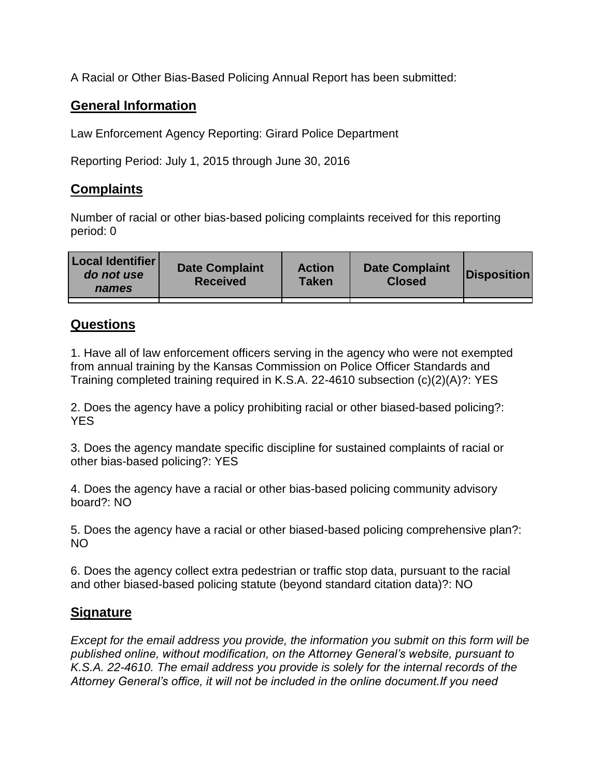A Racial or Other Bias-Based Policing Annual Report has been submitted:

## **General Information**

Law Enforcement Agency Reporting: Girard Police Department

Reporting Period: July 1, 2015 through June 30, 2016

## **Complaints**

Number of racial or other bias-based policing complaints received for this reporting period: 0

| <b>Local Identifier</b><br>do not use<br>names | <b>Date Complaint</b><br><b>Received</b> | <b>Action</b><br><b>Taken</b> | <b>Date Complaint</b><br><b>Closed</b> | Disposition |
|------------------------------------------------|------------------------------------------|-------------------------------|----------------------------------------|-------------|
|                                                |                                          |                               |                                        |             |

## **Questions**

1. Have all of law enforcement officers serving in the agency who were not exempted from annual training by the Kansas Commission on Police Officer Standards and Training completed training required in K.S.A. 22-4610 subsection (c)(2)(A)?: YES

2. Does the agency have a policy prohibiting racial or other biased-based policing?: YES

3. Does the agency mandate specific discipline for sustained complaints of racial or other bias-based policing?: YES

4. Does the agency have a racial or other bias-based policing community advisory board?: NO

5. Does the agency have a racial or other biased-based policing comprehensive plan?: NO

6. Does the agency collect extra pedestrian or traffic stop data, pursuant to the racial and other biased-based policing statute (beyond standard citation data)?: NO

## **Signature**

*Except for the email address you provide, the information you submit on this form will be published online, without modification, on the Attorney General's website, pursuant to K.S.A. 22-4610. The email address you provide is solely for the internal records of the Attorney General's office, it will not be included in the online document.If you need*